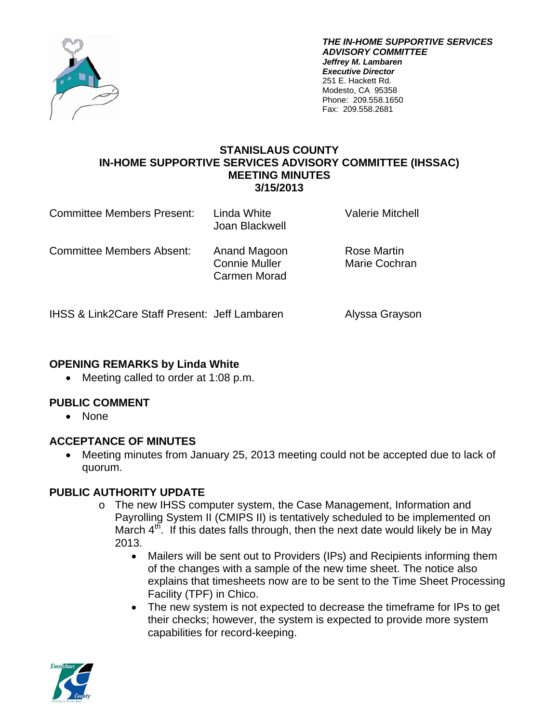

*THE IN-HOME SUPPORTIVE SERVICES ADVISORY COMMITTEE Jeffrey M. Lambaren Executive Director*  251 E. Hackett Rd. Modesto, CA 95358 Phone: 209.558.1650 Fax: 209.558.2681

#### **STANISLAUS COUNTY IN-HOME SUPPORTIVE SERVICES ADVISORY COMMITTEE (IHSSAC) MEETING MINUTES 3/15/2013**

| <b>Committee Members Present:</b>                        | Linda White<br>Joan Blackwell                        | <b>Valerie Mitchell</b>      |
|----------------------------------------------------------|------------------------------------------------------|------------------------------|
| <b>Committee Members Absent:</b>                         | Anand Magoon<br><b>Connie Muller</b><br>Carmen Morad | Rose Martin<br>Marie Cochran |
| <b>IHSS &amp; Link2Care Staff Present: Jeff Lambaren</b> |                                                      | Alyssa Grayson               |

### **OPENING REMARKS by Linda White**

• Meeting called to order at 1:08 p.m.

### **PUBLIC COMMENT**

• None

### **ACCEPTANCE OF MINUTES**

 Meeting minutes from January 25, 2013 meeting could not be accepted due to lack of quorum.

### **PUBLIC AUTHORITY UPDATE**

- o The new IHSS computer system, the Case Management, Information and Payrolling System II (CMIPS II) is tentatively scheduled to be implemented on March  $4^{t}$ . If this dates falls through, then the next date would likely be in May 2013.
	- Mailers will be sent out to Providers (IPs) and Recipients informing them of the changes with a sample of the new time sheet. The notice also explains that timesheets now are to be sent to the Time Sheet Processing Facility (TPF) in Chico.
	- The new system is not expected to decrease the timeframe for IPs to get their checks; however, the system is expected to provide more system capabilities for record-keeping.

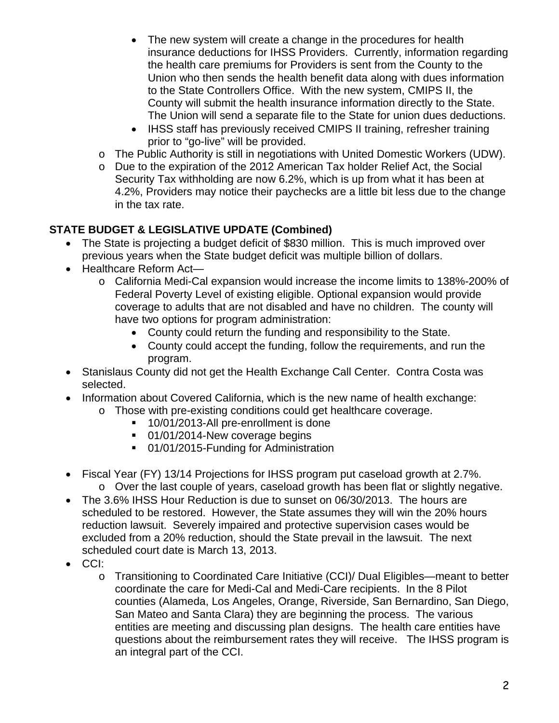- The new system will create a change in the procedures for health insurance deductions for IHSS Providers. Currently, information regarding the health care premiums for Providers is sent from the County to the Union who then sends the health benefit data along with dues information to the State Controllers Office. With the new system, CMIPS II, the County will submit the health insurance information directly to the State. The Union will send a separate file to the State for union dues deductions.
- IHSS staff has previously received CMIPS II training, refresher training prior to "go-live" will be provided.
- o The Public Authority is still in negotiations with United Domestic Workers (UDW).
- o Due to the expiration of the 2012 American Tax holder Relief Act, the Social Security Tax withholding are now 6.2%, which is up from what it has been at 4.2%, Providers may notice their paychecks are a little bit less due to the change in the tax rate.

## **STATE BUDGET & LEGISLATIVE UPDATE (Combined)**

- The State is projecting a budget deficit of \$830 million. This is much improved over previous years when the State budget deficit was multiple billion of dollars.
- Healthcare Reform Act
	- o California Medi-Cal expansion would increase the income limits to 138%-200% of Federal Poverty Level of existing eligible. Optional expansion would provide coverage to adults that are not disabled and have no children. The county will have two options for program administration:
		- County could return the funding and responsibility to the State.
		- County could accept the funding, follow the requirements, and run the program.
- Stanislaus County did not get the Health Exchange Call Center. Contra Costa was selected.
- Information about Covered California, which is the new name of health exchange:
	- o Those with pre-existing conditions could get healthcare coverage.
		- <sup>1</sup> 10/01/2013-All pre-enrollment is done
		- 01/01/2014-New coverage begins
		- 01/01/2015-Funding for Administration
- Fiscal Year (FY) 13/14 Projections for IHSS program put caseload growth at 2.7%. o Over the last couple of years, caseload growth has been flat or slightly negative.
- The 3.6% IHSS Hour Reduction is due to sunset on 06/30/2013. The hours are scheduled to be restored. However, the State assumes they will win the 20% hours reduction lawsuit. Severely impaired and protective supervision cases would be excluded from a 20% reduction, should the State prevail in the lawsuit. The next scheduled court date is March 13, 2013.
- CCI:
	- o Transitioning to Coordinated Care Initiative (CCI)/ Dual Eligibles—meant to better coordinate the care for Medi-Cal and Medi-Care recipients. In the 8 Pilot counties (Alameda, Los Angeles, Orange, Riverside, San Bernardino, San Diego, San Mateo and Santa Clara) they are beginning the process. The various entities are meeting and discussing plan designs. The health care entities have questions about the reimbursement rates they will receive. The IHSS program is an integral part of the CCI.